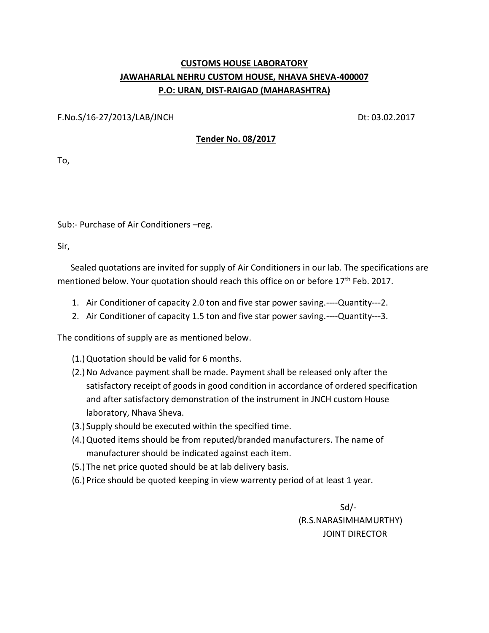## **CUSTOMS HOUSE LABORATORY JAWAHARLAL NEHRU CUSTOM HOUSE, NHAVA SHEVA-400007 P.O: URAN, DIST-RAIGAD (MAHARASHTRA)**

F.No.S/16-27/2013/LAB/JNCH Dt: 03.02.2017

## **Tender No. 08/2017**

To,

Sub:- Purchase of Air Conditioners –reg.

Sir,

 Sealed quotations are invited for supply of Air Conditioners in our lab. The specifications are mentioned below. Your quotation should reach this office on or before 17<sup>th</sup> Feb. 2017.

- 1. Air Conditioner of capacity 2.0 ton and five star power saving.----Quantity---2.
- 2. Air Conditioner of capacity 1.5 ton and five star power saving.----Quantity---3.

## The conditions of supply are as mentioned below.

- (1.)Quotation should be valid for 6 months.
- (2.)No Advance payment shall be made. Payment shall be released only after the satisfactory receipt of goods in good condition in accordance of ordered specification and after satisfactory demonstration of the instrument in JNCH custom House laboratory, Nhava Sheva.
- (3.) Supply should be executed within the specified time.
- (4.)Quoted items should be from reputed/branded manufacturers. The name of manufacturer should be indicated against each item.
- (5.) The net price quoted should be at lab delivery basis.
- (6.) Price should be quoted keeping in view warrenty period of at least 1 year.

 Sd/- (R.S.NARASIMHAMURTHY) JOINT DIRECTOR